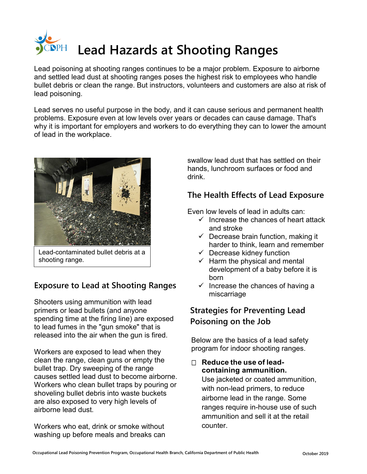

Lead poisoning at shooting ranges continues to be a major problem. Exposure to airborne and settled lead dust at shooting ranges poses the highest risk to employees who handle bullet debris or clean the range. But instructors, volunteers and customers are also at risk of lead poisoning.

Lead serves no useful purpose in the body, and it can cause serious and permanent health problems. Exposure even at low levels over years or decades can cause damage. That's why it is important for employers and workers to do everything they can to lower the amount of lead in the workplace.



Lead-contaminated bullet debris at a shooting range.

## **Exposure to Lead at Shooting Ranges**

Shooters using ammunition with lead primers or lead bullets (and anyone spending time at the firing line) are exposed to lead fumes in the "gun smoke" that is released into the air when the gun is fired.

Workers are exposed to lead when they clean the range, clean guns or empty the bullet trap. Dry sweeping of the range causes settled lead dust to become airborne. Workers who clean bullet traps by pouring or shoveling bullet debris into waste buckets are also exposed to very high levels of airborne lead dust.

Workers who eat, drink or smoke without washing up before meals and breaks can swallow lead dust that has settled on their hands, lunchroom surfaces or food and drink.

## **The Health Effects of Lead Exposure**

Even low levels of lead in adults can:

- $\checkmark$  Increase the chances of heart attack and stroke
- $\checkmark$  Decrease brain function, making it harder to think, learn and remember
- $\checkmark$  Decrease kidney function
- $\checkmark$  Harm the physical and mental development of a baby before it is born
- $\checkmark$  Increase the chances of having a miscarriage

## **Strategies for Preventing Lead Poisoning on the Job**

Below are the basics of a lead safety program for indoor shooting ranges.

**□ Reduce the use of leadcontaining ammunition.** Use jacketed or coated ammunition, with non-lead primers, to reduce airborne lead in the range. Some ranges require in-house use of such ammunition and sell it at the retail counter.